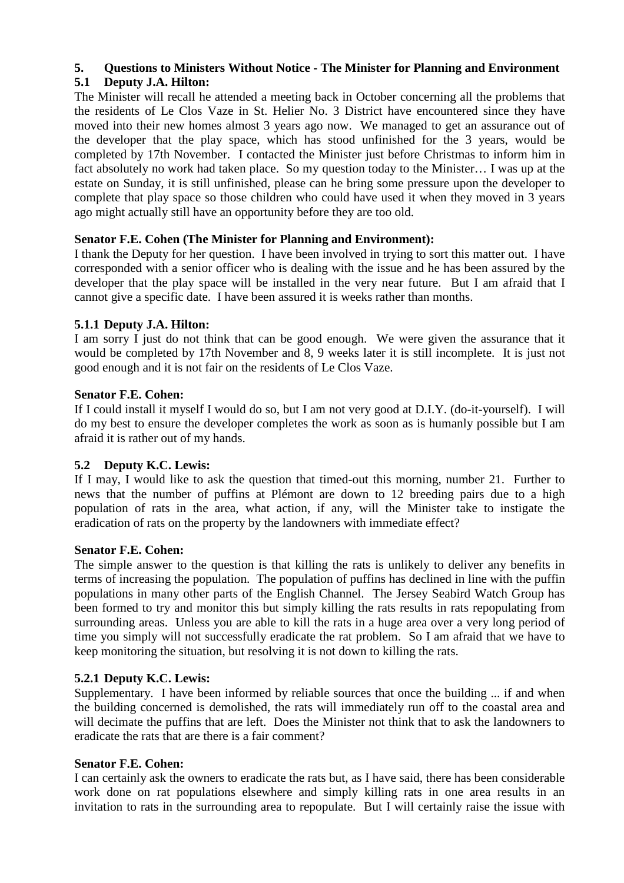# **5. Questions to Ministers Without Notice - The Minister for Planning and Environment**

## **5.1 Deputy J.A. Hilton:**

The Minister will recall he attended a meeting back in October concerning all the problems that the residents of Le Clos Vaze in St. Helier No. 3 District have encountered since they have moved into their new homes almost 3 years ago now. We managed to get an assurance out of the developer that the play space, which has stood unfinished for the 3 years, would be completed by 17th November. I contacted the Minister just before Christmas to inform him in fact absolutely no work had taken place. So my question today to the Minister… I was up at the estate on Sunday, it is still unfinished, please can he bring some pressure upon the developer to complete that play space so those children who could have used it when they moved in 3 years ago might actually still have an opportunity before they are too old.

## **Senator F.E. Cohen (The Minister for Planning and Environment):**

I thank the Deputy for her question. I have been involved in trying to sort this matter out. I have corresponded with a senior officer who is dealing with the issue and he has been assured by the developer that the play space will be installed in the very near future. But I am afraid that I cannot give a specific date. I have been assured it is weeks rather than months.

## **5.1.1 Deputy J.A. Hilton:**

I am sorry I just do not think that can be good enough. We were given the assurance that it would be completed by 17th November and 8, 9 weeks later it is still incomplete. It is just not good enough and it is not fair on the residents of Le Clos Vaze.

#### **Senator F.E. Cohen:**

If I could install it myself I would do so, but I am not very good at D.I.Y. (do-it-yourself). I will do my best to ensure the developer completes the work as soon as is humanly possible but I am afraid it is rather out of my hands.

#### **5.2 Deputy K.C. Lewis:**

If I may, I would like to ask the question that timed-out this morning, number 21. Further to news that the number of puffins at Plémont are down to 12 breeding pairs due to a high population of rats in the area, what action, if any, will the Minister take to instigate the eradication of rats on the property by the landowners with immediate effect?

#### **Senator F.E. Cohen:**

The simple answer to the question is that killing the rats is unlikely to deliver any benefits in terms of increasing the population. The population of puffins has declined in line with the puffin populations in many other parts of the English Channel. The Jersey Seabird Watch Group has been formed to try and monitor this but simply killing the rats results in rats repopulating from surrounding areas. Unless you are able to kill the rats in a huge area over a very long period of time you simply will not successfully eradicate the rat problem. So I am afraid that we have to keep monitoring the situation, but resolving it is not down to killing the rats.

#### **5.2.1 Deputy K.C. Lewis:**

Supplementary. I have been informed by reliable sources that once the building ... if and when the building concerned is demolished, the rats will immediately run off to the coastal area and will decimate the puffins that are left. Does the Minister not think that to ask the landowners to eradicate the rats that are there is a fair comment?

#### **Senator F.E. Cohen:**

I can certainly ask the owners to eradicate the rats but, as I have said, there has been considerable work done on rat populations elsewhere and simply killing rats in one area results in an invitation to rats in the surrounding area to repopulate. But I will certainly raise the issue with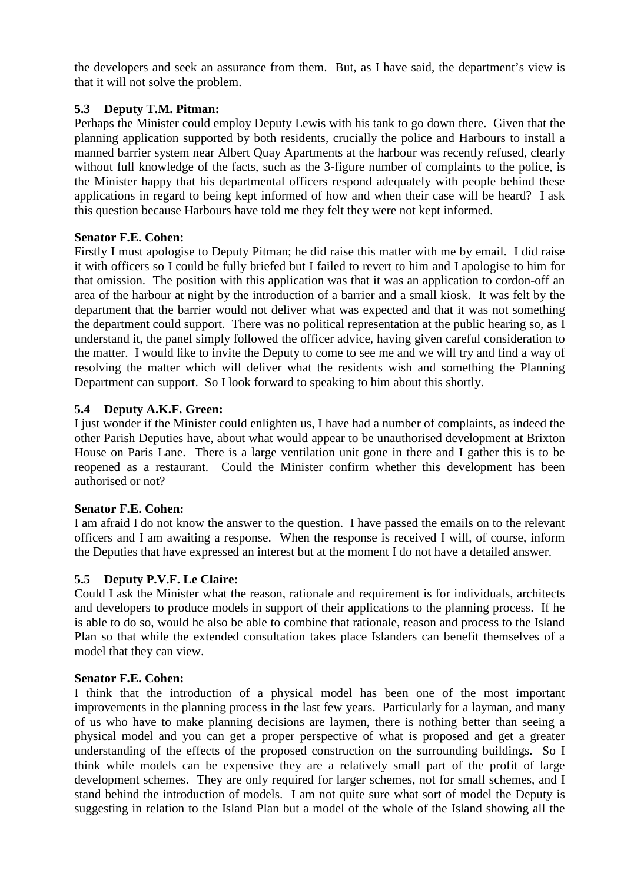the developers and seek an assurance from them. But, as I have said, the department's view is that it will not solve the problem.

#### **5.3 Deputy T.M. Pitman:**

Perhaps the Minister could employ Deputy Lewis with his tank to go down there. Given that the planning application supported by both residents, crucially the police and Harbours to install a manned barrier system near Albert Quay Apartments at the harbour was recently refused, clearly without full knowledge of the facts, such as the 3-figure number of complaints to the police, is the Minister happy that his departmental officers respond adequately with people behind these applications in regard to being kept informed of how and when their case will be heard? I ask this question because Harbours have told me they felt they were not kept informed.

## **Senator F.E. Cohen:**

Firstly I must apologise to Deputy Pitman; he did raise this matter with me by email. I did raise it with officers so I could be fully briefed but I failed to revert to him and I apologise to him for that omission. The position with this application was that it was an application to cordon-off an area of the harbour at night by the introduction of a barrier and a small kiosk. It was felt by the department that the barrier would not deliver what was expected and that it was not something the department could support. There was no political representation at the public hearing so, as I understand it, the panel simply followed the officer advice, having given careful consideration to the matter. I would like to invite the Deputy to come to see me and we will try and find a way of resolving the matter which will deliver what the residents wish and something the Planning Department can support. So I look forward to speaking to him about this shortly.

## **5.4 Deputy A.K.F. Green:**

I just wonder if the Minister could enlighten us, I have had a number of complaints, as indeed the other Parish Deputies have, about what would appear to be unauthorised development at Brixton House on Paris Lane. There is a large ventilation unit gone in there and I gather this is to be reopened as a restaurant. Could the Minister confirm whether this development has been authorised or not?

#### **Senator F.E. Cohen:**

I am afraid I do not know the answer to the question. I have passed the emails on to the relevant officers and I am awaiting a response. When the response is received I will, of course, inform the Deputies that have expressed an interest but at the moment I do not have a detailed answer.

## **5.5 Deputy P.V.F. Le Claire:**

Could I ask the Minister what the reason, rationale and requirement is for individuals, architects and developers to produce models in support of their applications to the planning process. If he is able to do so, would he also be able to combine that rationale, reason and process to the Island Plan so that while the extended consultation takes place Islanders can benefit themselves of a model that they can view.

#### **Senator F.E. Cohen:**

I think that the introduction of a physical model has been one of the most important improvements in the planning process in the last few years. Particularly for a layman, and many of us who have to make planning decisions are laymen, there is nothing better than seeing a physical model and you can get a proper perspective of what is proposed and get a greater understanding of the effects of the proposed construction on the surrounding buildings. So I think while models can be expensive they are a relatively small part of the profit of large development schemes. They are only required for larger schemes, not for small schemes, and I stand behind the introduction of models. I am not quite sure what sort of model the Deputy is suggesting in relation to the Island Plan but a model of the whole of the Island showing all the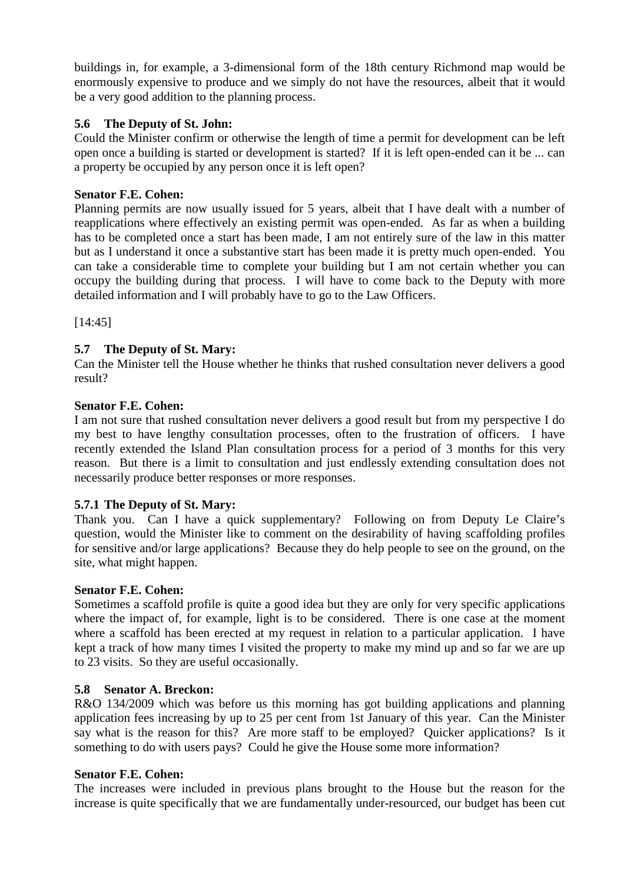buildings in, for example, a 3-dimensional form of the 18th century Richmond map would be enormously expensive to produce and we simply do not have the resources, albeit that it would be a very good addition to the planning process.

#### **5.6 The Deputy of St. John:**

Could the Minister confirm or otherwise the length of time a permit for development can be left open once a building is started or development is started? If it is left open-ended can it be ... can a property be occupied by any person once it is left open?

#### **Senator F.E. Cohen:**

Planning permits are now usually issued for 5 years, albeit that I have dealt with a number of reapplications where effectively an existing permit was open-ended. As far as when a building has to be completed once a start has been made, I am not entirely sure of the law in this matter but as I understand it once a substantive start has been made it is pretty much open-ended. You can take a considerable time to complete your building but I am not certain whether you can occupy the building during that process. I will have to come back to the Deputy with more detailed information and I will probably have to go to the Law Officers.

[14:45]

## **5.7 The Deputy of St. Mary:**

Can the Minister tell the House whether he thinks that rushed consultation never delivers a good result?

#### **Senator F.E. Cohen:**

I am not sure that rushed consultation never delivers a good result but from my perspective I do my best to have lengthy consultation processes, often to the frustration of officers. I have recently extended the Island Plan consultation process for a period of 3 months for this very reason. But there is a limit to consultation and just endlessly extending consultation does not necessarily produce better responses or more responses.

#### **5.7.1 The Deputy of St. Mary:**

Thank you. Can I have a quick supplementary? Following on from Deputy Le Claire's question, would the Minister like to comment on the desirability of having scaffolding profiles for sensitive and/or large applications? Because they do help people to see on the ground, on the site, what might happen.

#### **Senator F.E. Cohen:**

Sometimes a scaffold profile is quite a good idea but they are only for very specific applications where the impact of, for example, light is to be considered. There is one case at the moment where a scaffold has been erected at my request in relation to a particular application. I have kept a track of how many times I visited the property to make my mind up and so far we are up to 23 visits. So they are useful occasionally.

#### **5.8 Senator A. Breckon:**

R&O 134/2009 which was before us this morning has got building applications and planning application fees increasing by up to 25 per cent from 1st January of this year. Can the Minister say what is the reason for this? Are more staff to be employed? Quicker applications? Is it something to do with users pays? Could he give the House some more information?

#### **Senator F.E. Cohen:**

The increases were included in previous plans brought to the House but the reason for the increase is quite specifically that we are fundamentally under-resourced, our budget has been cut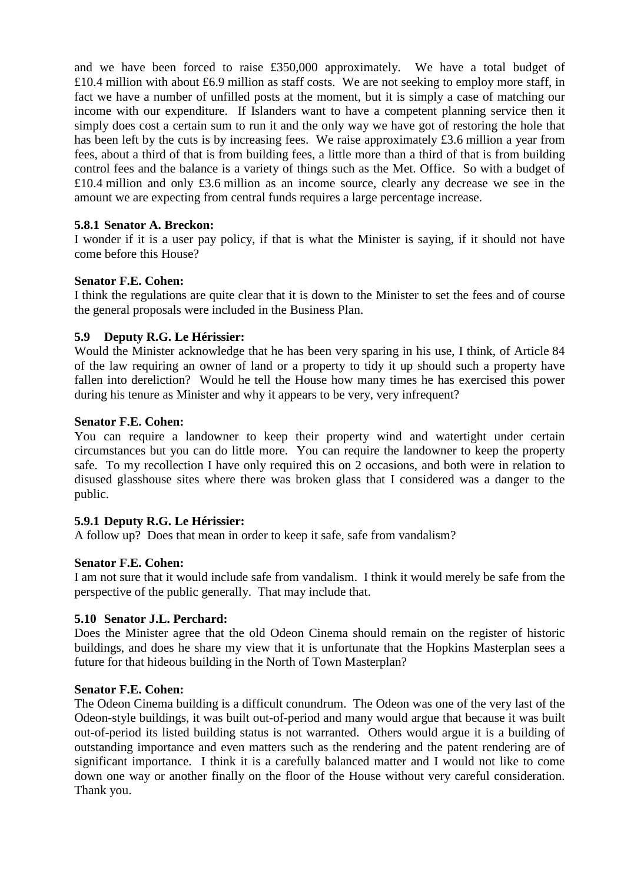and we have been forced to raise £350,000 approximately. We have a total budget of £10.4 million with about £6.9 million as staff costs. We are not seeking to employ more staff, in fact we have a number of unfilled posts at the moment, but it is simply a case of matching our income with our expenditure. If Islanders want to have a competent planning service then it simply does cost a certain sum to run it and the only way we have got of restoring the hole that has been left by the cuts is by increasing fees. We raise approximately £3.6 million a year from fees, about a third of that is from building fees, a little more than a third of that is from building control fees and the balance is a variety of things such as the Met. Office. So with a budget of £10.4 million and only £3.6 million as an income source, clearly any decrease we see in the amount we are expecting from central funds requires a large percentage increase.

#### **5.8.1 Senator A. Breckon:**

I wonder if it is a user pay policy, if that is what the Minister is saying, if it should not have come before this House?

#### **Senator F.E. Cohen:**

I think the regulations are quite clear that it is down to the Minister to set the fees and of course the general proposals were included in the Business Plan.

#### **5.9 Deputy R.G. Le Hérissier:**

Would the Minister acknowledge that he has been very sparing in his use, I think, of Article 84 of the law requiring an owner of land or a property to tidy it up should such a property have fallen into dereliction? Would he tell the House how many times he has exercised this power during his tenure as Minister and why it appears to be very, very infrequent?

#### **Senator F.E. Cohen:**

You can require a landowner to keep their property wind and watertight under certain circumstances but you can do little more. You can require the landowner to keep the property safe. To my recollection I have only required this on 2 occasions, and both were in relation to disused glasshouse sites where there was broken glass that I considered was a danger to the public.

#### **5.9.1 Deputy R.G. Le Hérissier:**

A follow up? Does that mean in order to keep it safe, safe from vandalism?

#### **Senator F.E. Cohen:**

I am not sure that it would include safe from vandalism. I think it would merely be safe from the perspective of the public generally. That may include that.

#### **5.10 Senator J.L. Perchard:**

Does the Minister agree that the old Odeon Cinema should remain on the register of historic buildings, and does he share my view that it is unfortunate that the Hopkins Masterplan sees a future for that hideous building in the North of Town Masterplan?

#### **Senator F.E. Cohen:**

The Odeon Cinema building is a difficult conundrum. The Odeon was one of the very last of the Odeon-style buildings, it was built out-of-period and many would argue that because it was built out-of-period its listed building status is not warranted. Others would argue it is a building of outstanding importance and even matters such as the rendering and the patent rendering are of significant importance. I think it is a carefully balanced matter and I would not like to come down one way or another finally on the floor of the House without very careful consideration. Thank you.